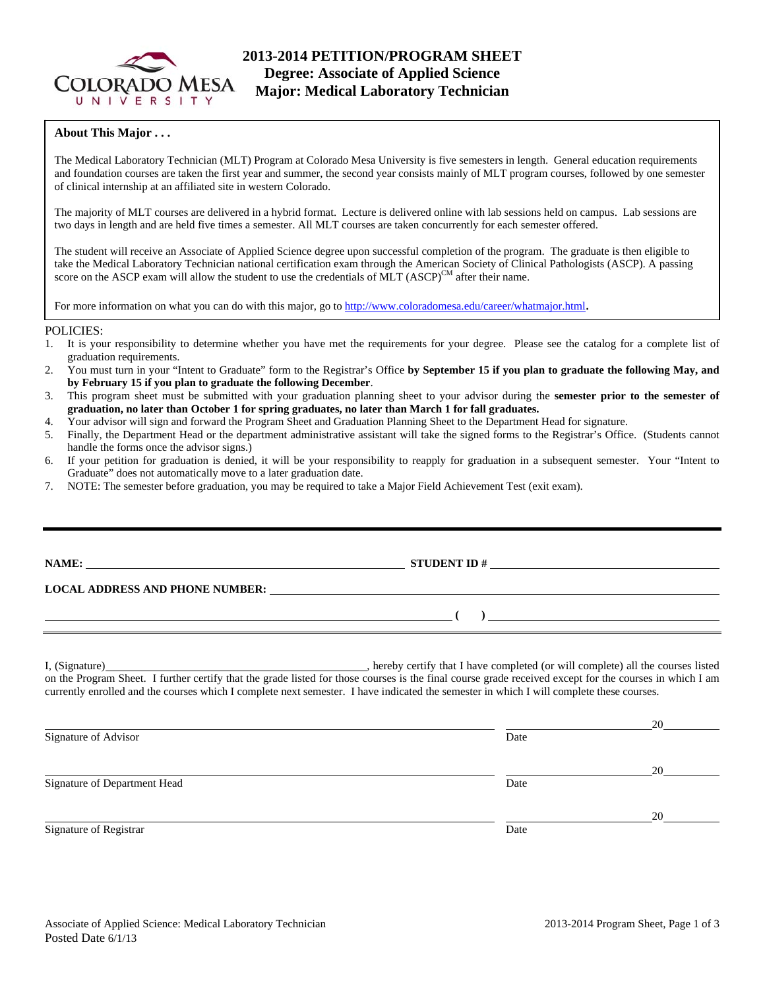

# **2013-2014 PETITION/PROGRAM SHEET Degree: Associate of Applied Science Major: Medical Laboratory Technician**

### **About This Major . . .**

The Medical Laboratory Technician (MLT) Program at Colorado Mesa University is five semesters in length. General education requirements and foundation courses are taken the first year and summer, the second year consists mainly of MLT program courses, followed by one semester of clinical internship at an affiliated site in western Colorado.

The majority of MLT courses are delivered in a hybrid format. Lecture is delivered online with lab sessions held on campus. Lab sessions are two days in length and are held five times a semester. All MLT courses are taken concurrently for each semester offered.

The student will receive an Associate of Applied Science degree upon successful completion of the program. The graduate is then eligible to take the Medical Laboratory Technician national certification exam through the American Society of Clinical Pathologists (ASCP). A passing score on the ASCP exam will allow the student to use the credentials of MLT  $(ASCP)^{CM}$  after their name.

For more information on what you can do with this major, go to http://www.coloradomesa.edu/career/whatmajor.html.

#### POLICIES:

- 1. It is your responsibility to determine whether you have met the requirements for your degree. Please see the catalog for a complete list of graduation requirements.
- 2. You must turn in your "Intent to Graduate" form to the Registrar's Office **by September 15 if you plan to graduate the following May, and by February 15 if you plan to graduate the following December**.
- 3. This program sheet must be submitted with your graduation planning sheet to your advisor during the **semester prior to the semester of graduation, no later than October 1 for spring graduates, no later than March 1 for fall graduates.**
- 4. Your advisor will sign and forward the Program Sheet and Graduation Planning Sheet to the Department Head for signature.
- 5. Finally, the Department Head or the department administrative assistant will take the signed forms to the Registrar's Office. (Students cannot handle the forms once the advisor signs.)
- 6. If your petition for graduation is denied, it will be your responsibility to reapply for graduation in a subsequent semester. Your "Intent to Graduate" does not automatically move to a later graduation date.
- 7. NOTE: The semester before graduation, you may be required to take a Major Field Achievement Test (exit exam).

| NAME:<br><u> 1989 - Johann Stein, marwolaethau a bhann an t-Amhair ann an t-Amhair an t-Amhair an t-Amhair an t-Amhair a</u><br><b>LOCAL ADDRESS AND PHONE NUMBER:</b> | <u> 1989 - John Stone, Amerikaans en Stone († 1989)</u> |  |
|------------------------------------------------------------------------------------------------------------------------------------------------------------------------|---------------------------------------------------------|--|
|                                                                                                                                                                        |                                                         |  |
|                                                                                                                                                                        |                                                         |  |

I, (Signature) , hereby certify that I have completed (or will complete) all the courses listed on the Program Sheet. I further certify that the grade listed for those courses is the final course grade received except for the courses in which I am currently enrolled and the courses which I complete next semester. I have indicated the semester in which I will complete these courses.

|                              |      | 20 |
|------------------------------|------|----|
| Signature of Advisor         | Date |    |
|                              |      | 20 |
| Signature of Department Head | Date |    |
|                              |      | 20 |
| Signature of Registrar       | Date |    |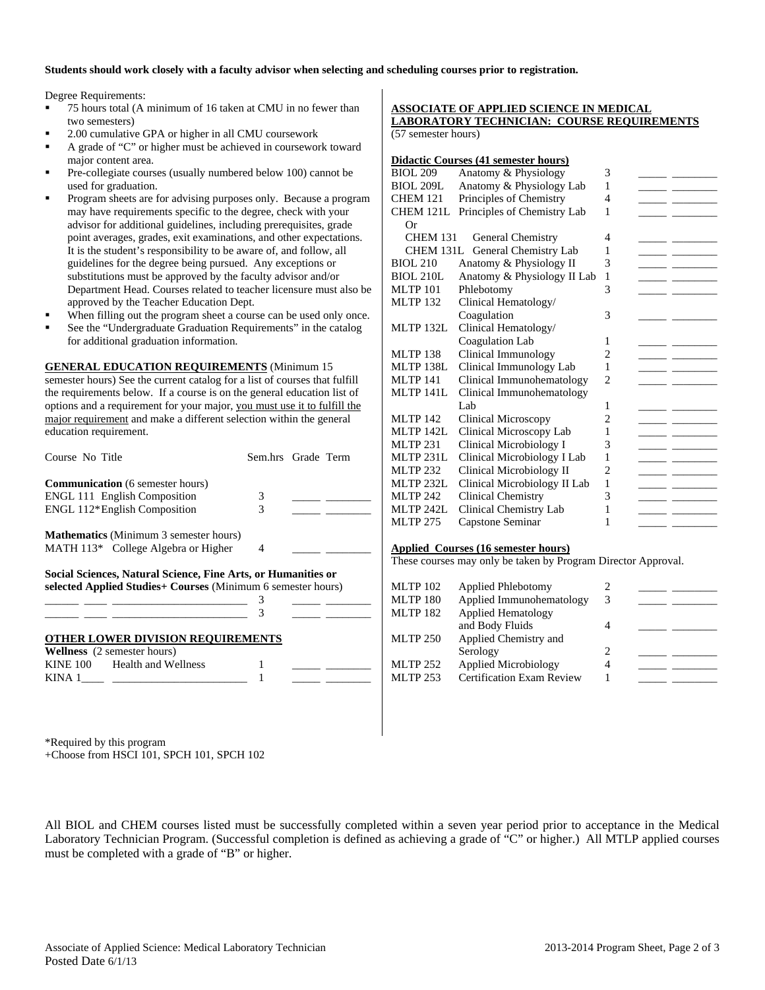### **Students should work closely with a faculty advisor when selecting and scheduling courses prior to registration.**

Degree Requirements:

- 75 hours total (A minimum of 16 taken at CMU in no fewer than two semesters)
- 2.00 cumulative GPA or higher in all CMU coursework
- A grade of "C" or higher must be achieved in coursework toward major content area.
- Pre-collegiate courses (usually numbered below 100) cannot be used for graduation.
- Program sheets are for advising purposes only. Because a program may have requirements specific to the degree, check with your advisor for additional guidelines, including prerequisites, grade point averages, grades, exit examinations, and other expectations. It is the student's responsibility to be aware of, and follow, all guidelines for the degree being pursued. Any exceptions or substitutions must be approved by the faculty advisor and/or Department Head. Courses related to teacher licensure must also be approved by the Teacher Education Dept.
- When filling out the program sheet a course can be used only once.
- See the "Undergraduate Graduation Requirements" in the catalog for additional graduation information.

**GENERAL EDUCATION REQUIREMENTS** (Minimum 15

semester hours) See the current catalog for a list of courses that fulfill the requirements below. If a course is on the general education list of options and a requirement for your major, you must use it to fulfill the major requirement and make a different selection within the general education requirement.

| Course No Title                                                                                                               | Sem.hrs Grade Term |  |
|-------------------------------------------------------------------------------------------------------------------------------|--------------------|--|
| <b>Communication</b> (6 semester hours)                                                                                       |                    |  |
| <b>ENGL 111 English Composition</b>                                                                                           | 3                  |  |
| ENGL 112*English Composition                                                                                                  | 3                  |  |
| <b>Mathematics</b> (Minimum 3 semester hours)                                                                                 |                    |  |
| MATH 113* College Algebra or Higher                                                                                           | 4                  |  |
| Social Sciences, Natural Science, Fine Arts, or Humanities or<br>selected Applied Studies+ Courses (Minimum 6 semester hours) |                    |  |
|                                                                                                                               |                    |  |
|                                                                                                                               | 3                  |  |
| <b>OTHER LOWER DIVISION REQUIREMENTS</b>                                                                                      |                    |  |
| <b>Wellness</b> (2 semester hours)                                                                                            |                    |  |
| KINE 100 Health and Wellness                                                                                                  |                    |  |
| KINA 1                                                                                                                        |                    |  |

#### **ASSOCIATE OF APPLIED SCIENCE IN MEDICAL LABORATORY TECHNICIAN: COURSE REQUIREMENTS** (57 semester hours)

### **Didactic Courses (41 semester hours)**

| <b>BIOL 209</b>  | Anatomy & Physiology         | 3 |  |
|------------------|------------------------------|---|--|
| <b>BIOL 209L</b> | Anatomy & Physiology Lab     | 1 |  |
| <b>CHEM 121</b>  | Principles of Chemistry      | 4 |  |
| <b>CHEM 121L</b> | Principles of Chemistry Lab  | 1 |  |
| Оr               |                              |   |  |
| <b>CHEM 131</b>  | General Chemistry            | 4 |  |
| CHEM 131L        | General Chemistry Lab        | 1 |  |
| <b>BIOL 210</b>  | Anatomy & Physiology II      | 3 |  |
| <b>BIOL 210L</b> | Anatomy & Physiology II Lab  | 1 |  |
| <b>MLTP 101</b>  | Phlebotomy                   | 3 |  |
| <b>MLTP 132</b>  | Clinical Hematology/         |   |  |
|                  | Coagulation                  | 3 |  |
| MLTP 132L        | Clinical Hematology/         |   |  |
|                  | Coagulation Lab              | 1 |  |
| <b>MLTP 138</b>  | Clinical Immunology          | 2 |  |
| MLTP 138L        | Clinical Immunology Lab      | 1 |  |
| <b>MLTP 141</b>  | Clinical Immunohematology    | 2 |  |
| <b>MLTP 141L</b> | Clinical Immunohematology    |   |  |
|                  | Lab                          | 1 |  |
| <b>MLTP 142</b>  | Clinical Microscopy          | 2 |  |
| <b>MLTP 142L</b> | Clinical Microscopy Lab      | 1 |  |
| <b>MLTP 231</b>  | Clinical Microbiology I      | 3 |  |
| <b>MLTP 231L</b> | Clinical Microbiology I Lab  | 1 |  |
| <b>MLTP 232</b>  | Clinical Microbiology II     | 2 |  |
| MLTP 232L        | Clinical Microbiology II Lab | 1 |  |
| <b>MLTP 242</b>  | <b>Clinical Chemistry</b>    | 3 |  |
| <b>MLTP 242L</b> | Clinical Chemistry Lab       | 1 |  |
| <b>MLTP 275</b>  | Capstone Seminar             | 1 |  |
|                  |                              |   |  |

## **Applied Courses (16 semester hours)**

These courses may only be taken by Program Director Approval.

| <b>MLTP 102</b> | Applied Phlebotomy               |   |  |
|-----------------|----------------------------------|---|--|
| <b>MLTP 180</b> | Applied Immunohematology         | 3 |  |
| <b>MLTP 182</b> | <b>Applied Hematology</b>        |   |  |
|                 | and Body Fluids                  |   |  |
| <b>MLTP 250</b> | Applied Chemistry and            |   |  |
|                 | Serology                         |   |  |
| <b>MLTP 252</b> | Applied Microbiology             |   |  |
| <b>MLTP 253</b> | <b>Certification Exam Review</b> |   |  |
|                 |                                  |   |  |

\*Required by this program

+Choose from HSCI 101, SPCH 101, SPCH 102

All BIOL and CHEM courses listed must be successfully completed within a seven year period prior to acceptance in the Medical Laboratory Technician Program. (Successful completion is defined as achieving a grade of "C" or higher.) All MTLP applied courses must be completed with a grade of "B" or higher.